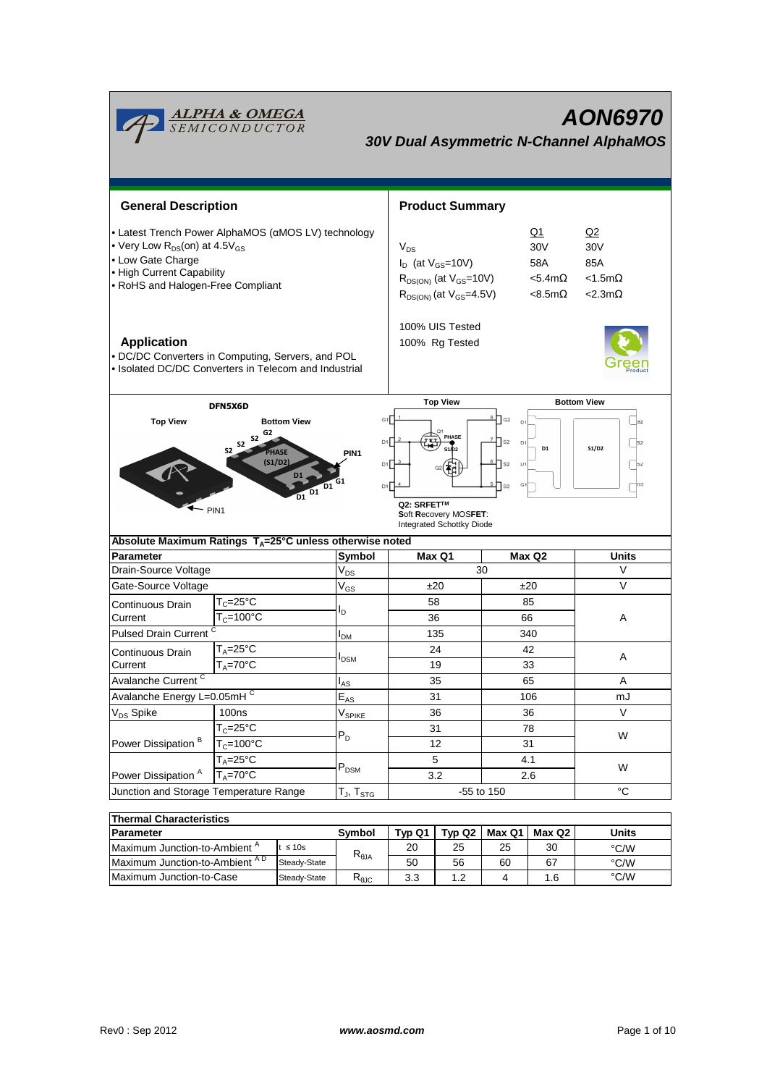| <u><b>ALPHA &amp; OMEGA</b><br/>SEMICONDUCTOR</u><br><b>AON6970</b><br><b>30V Dual Asymmetric N-Channel AlphaMOS</b>                                                                                                          |                                     |                    |                                    |                                                                                                                                                                                                               |                        |        |                                                                  |                                                             |  |
|-------------------------------------------------------------------------------------------------------------------------------------------------------------------------------------------------------------------------------|-------------------------------------|--------------------|------------------------------------|---------------------------------------------------------------------------------------------------------------------------------------------------------------------------------------------------------------|------------------------|--------|------------------------------------------------------------------|-------------------------------------------------------------|--|
| <b>General Description</b>                                                                                                                                                                                                    |                                     |                    |                                    |                                                                                                                                                                                                               | <b>Product Summary</b> |        |                                                                  |                                                             |  |
| • Latest Trench Power AlphaMOS (aMOS LV) technology<br>• Very Low $R_{DS}$ (on) at 4.5 $V_{GS}$<br>• Low Gate Charge<br>• High Current Capability<br>• RoHS and Halogen-Free Compliant                                        |                                     |                    |                                    | $V_{DS}$<br>$I_D$ (at $V_{GS}$ =10V)<br>$R_{DS(ON)}$ (at $V_{GS}$ =10V)<br>$R_{DS(ON)}$ (at $V_{GS}$ =4.5V)                                                                                                   |                        |        | <u>Q1</u><br>30V<br>58A<br>$< 5.4$ m $\Omega$<br>$< 8.5 m\Omega$ | Q2<br>30V<br>85A<br>$< 1.5$ m $\Omega$<br>$<$ 2.3m $\Omega$ |  |
| <b>Application</b><br>· DC/DC Converters in Computing, Servers, and POL<br>• Isolated DC/DC Converters in Telecom and Industrial                                                                                              |                                     |                    |                                    | 100% UIS Tested<br>100% Rg Tested                                                                                                                                                                             |                        |        |                                                                  |                                                             |  |
|                                                                                                                                                                                                                               | DFN5X6D                             |                    |                                    | <b>Top View</b>                                                                                                                                                                                               |                        |        | <b>Bottom View</b>                                               |                                                             |  |
| <b>Top View</b><br><b>Bottom View</b><br>G2<br><b>S2</b><br><b>S2</b><br>S <sub>2</sub><br>PHASE<br>(S1/D2)<br>D1<br>$\overline{D1}^{D1}$<br>$-$ PIN1<br>Absolute Maximum Ratings T <sub>A</sub> =25°C unless otherwise noted |                                     |                    | G <sub>1</sub><br>PIN <sub>1</sub> | G2<br>D.<br>PHASE<br>D1<br>$\sqrt{\text{S2}}$<br>D <sub>1</sub><br>D1<br>D1<br>$\prod$ S2<br>D1<br>D1<br>G <sub>1</sub><br>S <sub>2</sub><br>Q2: SRFET™<br>Soft Recovery MOSFET:<br>Integrated Schottky Diode |                        |        |                                                                  | $ _{32}$<br> S2<br>S1/D2<br> s2 <br>TG2                     |  |
| <b>Parameter</b>                                                                                                                                                                                                              |                                     |                    | Symbol                             |                                                                                                                                                                                                               | Max Q1                 |        | Max Q2                                                           | Units                                                       |  |
| Drain-Source Voltage                                                                                                                                                                                                          |                                     |                    | $\mathsf{V}_{\mathsf{DS}}$         |                                                                                                                                                                                                               | 30                     |        |                                                                  | V                                                           |  |
| Gate-Source Voltage                                                                                                                                                                                                           |                                     |                    | $V_{GS}$                           | ±20                                                                                                                                                                                                           |                        | ±20    |                                                                  | V                                                           |  |
| Continuous Drain<br>Current                                                                                                                                                                                                   | $T_c = 25$ °C<br>$T_c = 100$ °C     |                    | l <sub>D</sub>                     | 58<br>36                                                                                                                                                                                                      |                        |        | 85<br>66                                                         | Α                                                           |  |
| Pulsed Drain Current <sup>C</sup>                                                                                                                                                                                             |                                     |                    | I <sub>DM</sub>                    | 135                                                                                                                                                                                                           |                        | 340    |                                                                  |                                                             |  |
| Continuous Drain<br>Current                                                                                                                                                                                                   | $T_A = 25$ °C<br>$T_A = 70^\circ C$ |                    | <b>I</b> <sub>DSM</sub>            |                                                                                                                                                                                                               | 24<br>19               |        | 42<br>33                                                         | Α                                                           |  |
| Avalanche Current <sup>C</sup>                                                                                                                                                                                                |                                     | $I_{AS}$           | 35                                 |                                                                                                                                                                                                               | 65                     |        | Α                                                                |                                                             |  |
| Avalanche Energy L=0.05mHC                                                                                                                                                                                                    |                                     |                    | $\mathsf{E}_{\mathsf{AS}}$         | 31                                                                                                                                                                                                            |                        |        | 106                                                              | mJ                                                          |  |
| V <sub>DS</sub> Spike<br>100ns                                                                                                                                                                                                |                                     | V <sub>SPIKE</sub> | 36                                 |                                                                                                                                                                                                               | 36                     |        | V                                                                |                                                             |  |
|                                                                                                                                                                                                                               | $T_c = 25$ °C                       |                    | $P_D$                              | 31                                                                                                                                                                                                            |                        | 78     |                                                                  | W                                                           |  |
| Power Dissipation <sup>B</sup>                                                                                                                                                                                                | $T_c = 100$ °C                      |                    |                                    | 12                                                                                                                                                                                                            |                        | 31     |                                                                  |                                                             |  |
| $T_A = 25\overline{°C}$                                                                                                                                                                                                       |                                     | $P_{DSM}$          | 5                                  |                                                                                                                                                                                                               | 4.1                    |        | W                                                                |                                                             |  |
| $T_A = 70^\circ C$<br>Power Dissipation <sup>A</sup>                                                                                                                                                                          |                                     |                    | 3.2                                |                                                                                                                                                                                                               | 2.6                    |        |                                                                  |                                                             |  |
| Junction and Storage Temperature Range                                                                                                                                                                                        |                                     |                    | $T_J$ , $T_{STG}$                  | -55 to 150                                                                                                                                                                                                    |                        | °C     |                                                                  |                                                             |  |
| <b>Thermal Characteristics</b>                                                                                                                                                                                                |                                     |                    |                                    |                                                                                                                                                                                                               |                        |        |                                                                  |                                                             |  |
| Parameter                                                                                                                                                                                                                     |                                     | Symbol             | Typ Q1                             | Typ Q2                                                                                                                                                                                                        | Max Q1                 | Max Q2 | <b>Units</b>                                                     |                                                             |  |
| Maximum Junction-to-Ambient A<br>$t \leq 10s$                                                                                                                                                                                 |                                     |                    | 20                                 | 25                                                                                                                                                                                                            | 25                     | 30     | °C/W                                                             |                                                             |  |
| Maximum Junction-to-Ambient AD<br>Steady-State                                                                                                                                                                                |                                     | $R_{\theta$ JA     | 50                                 | 56                                                                                                                                                                                                            | 60                     | 67     | °C/W                                                             |                                                             |  |

Maximum Junction-to-Case

Steady-State  $R_{\theta \text{JC}}$  3.3 1.2 4 1.6

°C/W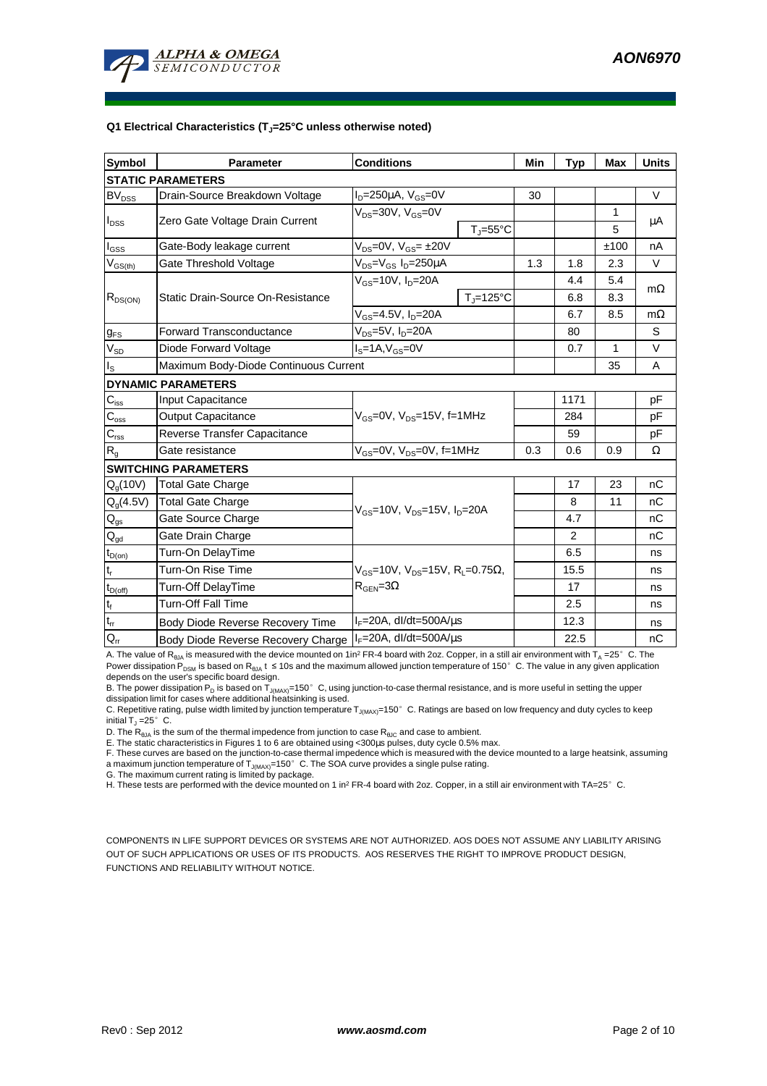

#### **Q1 Electrical Characteristics (TJ=25°C unless otherwise noted)**

| <b>Symbol</b>                           | <b>Parameter</b>                      | <b>Conditions</b>                                                                           |                              | Min | <b>Typ</b>     | <b>Max</b>   | <b>Units</b> |  |  |
|-----------------------------------------|---------------------------------------|---------------------------------------------------------------------------------------------|------------------------------|-----|----------------|--------------|--------------|--|--|
| <b>STATIC PARAMETERS</b>                |                                       |                                                                                             |                              |     |                |              |              |  |  |
| <b>BV<sub>DSS</sub></b>                 | Drain-Source Breakdown Voltage        | $I_D = 250 \mu A$ , $V_{GS} = 0V$                                                           |                              | 30  |                |              | $\vee$       |  |  |
| $I_{DSS}$                               | Zero Gate Voltage Drain Current       | $V_{DS}$ =30V, $V_{GS}$ =0V                                                                 |                              |     |                | $\mathbf{1}$ | μA           |  |  |
|                                         |                                       |                                                                                             | $T_{\text{J}} = 55^{\circ}C$ |     |                | 5            |              |  |  |
| $I_{GSS}$                               | Gate-Body leakage current             | $V_{DS} = 0V$ , $V_{GS} = \pm 20V$                                                          |                              |     |                | ±100         | nA           |  |  |
| $\mathsf{V}_{\mathsf{GS}(\mathsf{th})}$ | Gate Threshold Voltage                | $V_{DS} = V_{GS} I_D = 250 \mu A$                                                           |                              | 1.3 | 1.8            | 2.3          | $\vee$       |  |  |
| $R_{DS(ON)}$                            | Static Drain-Source On-Resistance     | $V_{GS}$ =10V, $I_{D}$ =20A                                                                 |                              |     | 4.4            | 5.4          |              |  |  |
|                                         |                                       |                                                                                             | $T_i = 125^{\circ}C$         |     | 6.8            | 8.3          | $m\Omega$    |  |  |
|                                         |                                       | $V_{GS} = 4.5V, I_D = 20A$                                                                  |                              | 6.7 | 8.5            | $m\Omega$    |              |  |  |
| $g_{FS}$                                | <b>Forward Transconductance</b>       | $V_{DS}$ =5V, I <sub>D</sub> =20A                                                           |                              | 80  |                | S            |              |  |  |
| $V_{SD}$                                | Diode Forward Voltage                 | $IS=1A, VGS=0V$                                                                             |                              | 0.7 | $\mathbf{1}$   | $\vee$       |              |  |  |
| $I_{\rm S}$                             | Maximum Body-Diode Continuous Current |                                                                                             |                              |     |                | 35           | A            |  |  |
|                                         | <b>DYNAMIC PARAMETERS</b>             |                                                                                             |                              |     |                |              |              |  |  |
| $C_{iss}$                               | Input Capacitance                     |                                                                                             |                              |     | 1171           |              | pF           |  |  |
| $C_{\rm oss}$                           | <b>Output Capacitance</b>             | V <sub>GS</sub> =0V, V <sub>DS</sub> =15V, f=1MHz                                           |                              |     | 284            |              | pF           |  |  |
| $C_{\text{rss}}$                        | Reverse Transfer Capacitance          |                                                                                             |                              | 59  |                | pF           |              |  |  |
| $R_{q}$                                 | Gate resistance                       | $V_{GS}$ =0V, $V_{DS}$ =0V, f=1MHz                                                          | 0.3                          | 0.6 | 0.9            | Ω            |              |  |  |
| <b>SWITCHING PARAMETERS</b>             |                                       |                                                                                             |                              |     |                |              |              |  |  |
| Q <sub>q</sub> (10V)                    | <b>Total Gate Charge</b>              | $V_{GS}$ =10V, $V_{DS}$ =15V, $I_{D}$ =20A                                                  |                              |     | 17             | 23           | nC           |  |  |
| $Q_g(4.5V)$                             | <b>Total Gate Charge</b>              |                                                                                             |                              |     | 8              | 11           | nC           |  |  |
| $Q_{gs}$                                | Gate Source Charge                    |                                                                                             |                              |     | 4.7            |              | nС           |  |  |
| $\mathsf{Q}_{\underline{\mathsf{gd}}}$  | Gate Drain Charge                     |                                                                                             |                              |     | $\overline{2}$ |              | nC           |  |  |
| $\mathsf{t}_{\mathsf{D}(\mathsf{on})}$  | Turn-On DelayTime                     |                                                                                             |                              |     | 6.5            |              | ns           |  |  |
| $\mathfrak{t}_{\mathsf{r}}$             | Turn-On Rise Time                     | $V_{GS}$ =10V, $V_{DS}$ =15V, R <sub>L</sub> =0.75 $\Omega$ ,<br>$R_{\text{GEN}} = 3\Omega$ |                              |     | 15.5           |              | ns           |  |  |
| $t_{D(off)}$                            | Turn-Off DelayTime                    |                                                                                             |                              |     | 17             |              | ns           |  |  |
| $\mathbf{t}_\text{f}$                   | <b>Turn-Off Fall Time</b>             |                                                                                             |                              |     | 2.5            |              | ns           |  |  |
| $t_{rr}$                                | Body Diode Reverse Recovery Time      | $I_F = 20A$ , dl/dt=500A/ $\mu$ s                                                           |                              |     | 12.3           |              | ns           |  |  |
| $Q_{rr}$                                | Body Diode Reverse Recovery Charge    | $IF=20A$ , dl/dt=500A/ $\mu$ s                                                              |                              |     | 22.5           |              | nC           |  |  |

A. The value of R<sub>θJA</sub> is measured with the device mounted on 1in<sup>2</sup> FR-4 board with 2oz. Copper, in a still air environment with T<sub>A</sub> =25°C. The Power dissipation  $\overline{P}_{DSM}$  is based on R<sub>BJA</sub> t ≤ 10s and the maximum allowed junction temperature of 150°C. The value in any given application depends on the user's specific board design.

B. The power dissipation P<sub>D</sub> is based on T<sub>J(MAX)</sub>=150°C, using junction-to-case thermal resistance, and is more useful in setting the upper<br>dissipation limit for cases where additional heatsinking is used.

C. Repetitive rating, pulse width limited by junction temperature T<sub>J(MAX)</sub>=150°C. Ratings are based on low frequency and duty cycles to keep initial  $T_J = 25^\circ$  C.

D. The  $R_{h1A}$  is the sum of the thermal impedence from junction to case  $R_{h1C}$  and case to ambient.

E. The static characteristics in Figures 1 to 6 are obtained using <300µs pulses, duty cycle 0.5% max.

F. These curves are based on the junction-to-case thermal impedence which is measured with the device mounted to a large heatsink, assuming a maximum junction temperature of  $T_{J(MAX)}=150^\circ$  C. The SOA curve provides a single pulse rating.

G. The maximum current rating is limited by package.

H. These tests are performed with the device mounted on 1 in<sup>2</sup> FR-4 board with 2oz. Copper, in a still air environment with TA=25°C.

COMPONENTS IN LIFE SUPPORT DEVICES OR SYSTEMS ARE NOT AUTHORIZED. AOS DOES NOT ASSUME ANY LIABILITY ARISING OUT OF SUCH APPLICATIONS OR USES OF ITS PRODUCTS. AOS RESERVES THE RIGHT TO IMPROVE PRODUCT DESIGN, FUNCTIONS AND RELIABILITY WITHOUT NOTICE.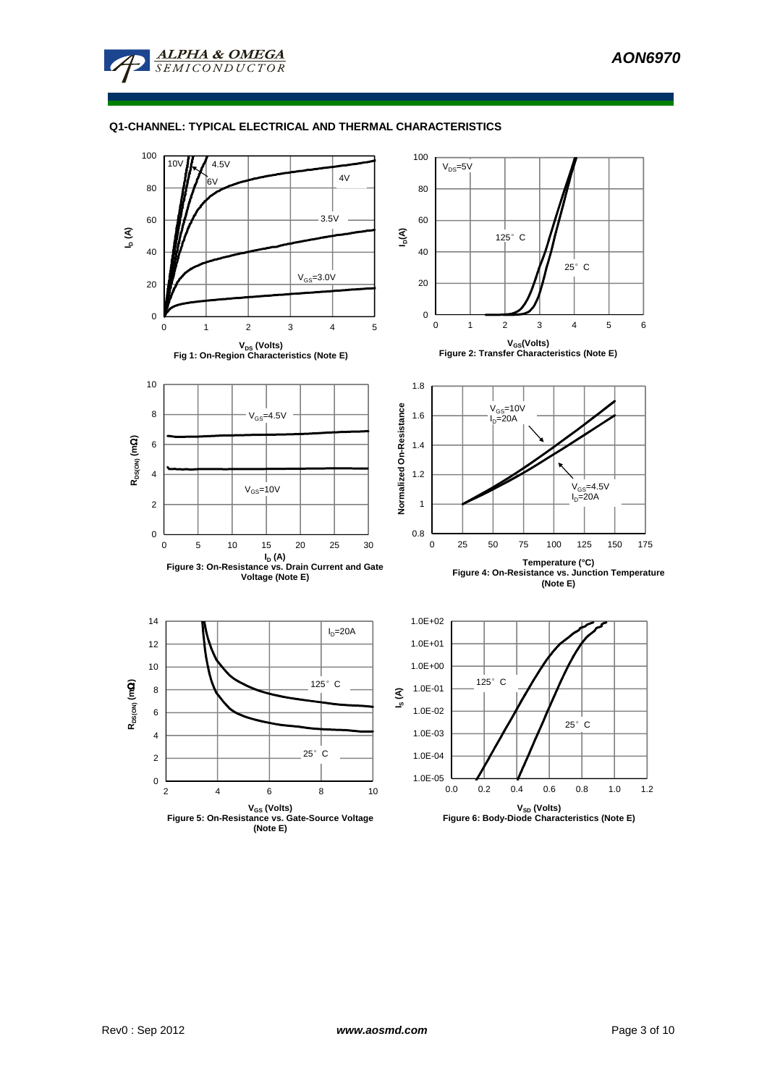

## **Q1-CHANNEL: TYPICAL ELECTRICAL AND THERMAL CHARACTERISTICS**

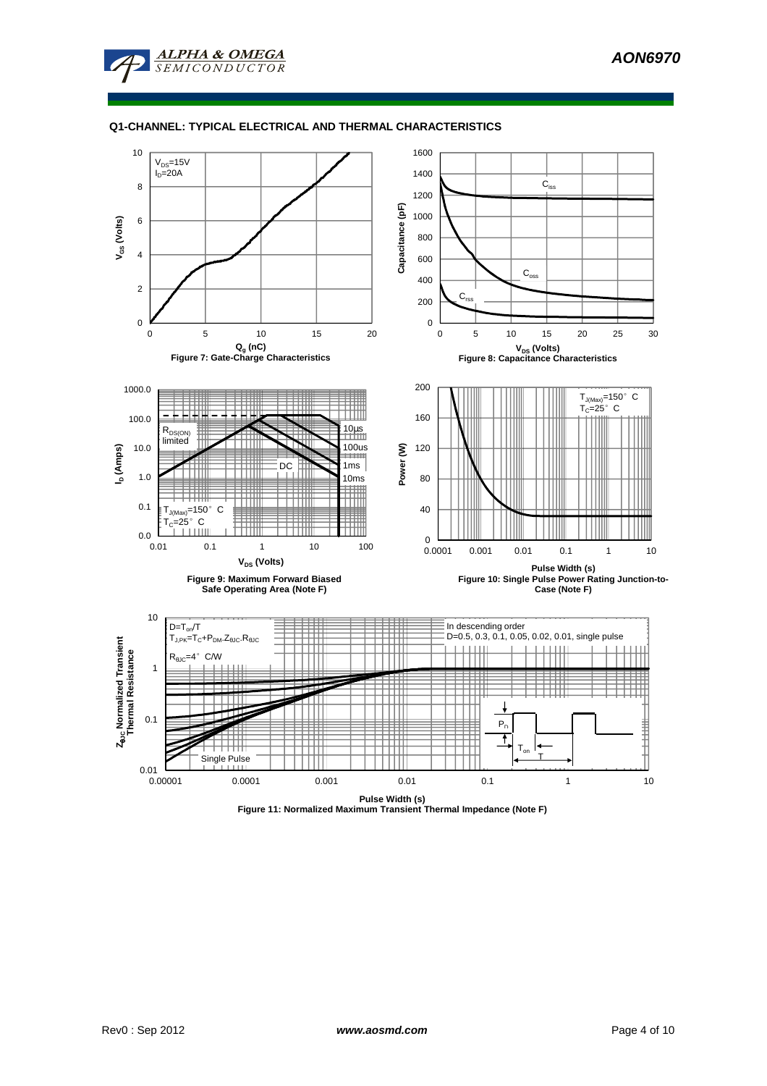

# **Q1-CHANNEL: TYPICAL ELECTRICAL AND THERMAL CHARACTERISTICS**



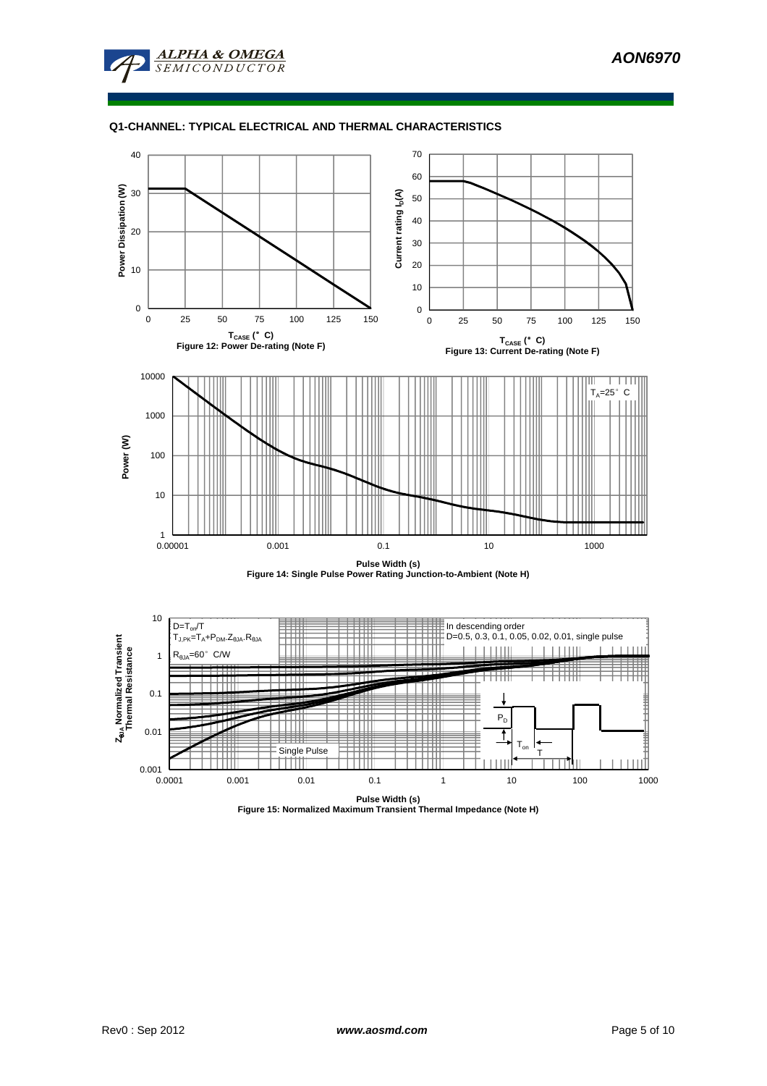

## **Q1-CHANNEL: TYPICAL ELECTRICAL AND THERMAL CHARACTERISTICS**





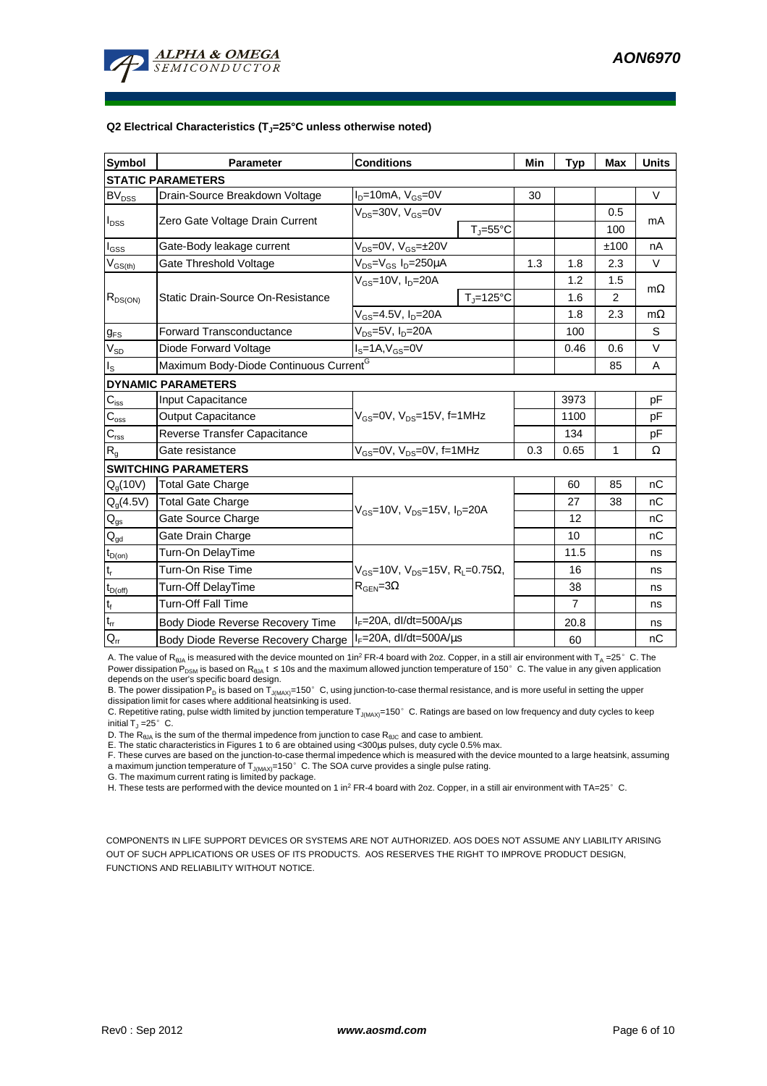

#### **Q2 Electrical Characteristics (TJ=25°C unless otherwise noted)**

| <b>Symbol</b>                           | <b>Parameter</b>                                   | <b>Conditions</b>                                                                  | Min                 | <b>Typ</b> | <b>Max</b> | <b>Units</b> |           |  |  |
|-----------------------------------------|----------------------------------------------------|------------------------------------------------------------------------------------|---------------------|------------|------------|--------------|-----------|--|--|
| <b>STATIC PARAMETERS</b>                |                                                    |                                                                                    |                     |            |            |              |           |  |  |
| <b>BV<sub>DSS</sub></b>                 | Drain-Source Breakdown Voltage                     | $I_D = 10mA$ , $V_{GS} = 0V$                                                       |                     | 30         |            |              | $\vee$    |  |  |
| $I_{\text{DSS}}$                        | Zero Gate Voltage Drain Current                    | $V_{DS}$ =30V, $V_{GS}$ =0V                                                        |                     |            |            | 0.5          | mA        |  |  |
|                                         |                                                    |                                                                                    | $T_i = 55^{\circ}C$ |            |            | 100          |           |  |  |
| $I_{GSS}$                               | Gate-Body leakage current                          | $V_{DS} = 0V$ , $V_{GS} = \pm 20V$                                                 |                     |            |            | ±100         | nA        |  |  |
| $\mathsf{V}_{\mathsf{GS}(\mathsf{th})}$ | Gate Threshold Voltage                             | $V_{DS} = V_{GS} I_D = 250 \mu A$                                                  |                     | 1.3        | 1.8        | 2.3          | $\vee$    |  |  |
| $R_{DS(ON)}$                            | Static Drain-Source On-Resistance                  | $V_{GS}$ =10V, $I_{D}$ =20A                                                        |                     |            | 1.2        | 1.5          | $m\Omega$ |  |  |
|                                         |                                                    |                                                                                    | $T_i = 125$ °C      |            | 1.6        | 2            |           |  |  |
|                                         |                                                    | $V_{GS}$ =4.5V, $I_D$ =20A                                                         |                     |            | 1.8        | 2.3          | $m\Omega$ |  |  |
| $g_{FS}$                                | <b>Forward Transconductance</b>                    | $V_{DS}$ =5V, I <sub>D</sub> =20A                                                  |                     | 100        |            | S            |           |  |  |
| $V_{SD}$                                | Diode Forward Voltage                              | $I_S = 1A$ , $V_{GS} = 0V$                                                         |                     | 0.46       | 0.6        | V            |           |  |  |
| $I_{\rm S}$                             | Maximum Body-Diode Continuous Current <sup>G</sup> |                                                                                    |                     |            |            | 85           | A         |  |  |
|                                         | <b>DYNAMIC PARAMETERS</b>                          |                                                                                    |                     |            |            |              |           |  |  |
| $C_{\text{iss}}$                        | Input Capacitance                                  |                                                                                    |                     |            | 3973       |              | pF        |  |  |
| $C_{\rm oss}$                           | <b>Output Capacitance</b>                          | $V_{GS}$ =0V, $V_{DS}$ =15V, f=1MHz                                                |                     |            | 1100       |              | pF        |  |  |
| $C_{\text{rss}}$                        | Reverse Transfer Capacitance                       |                                                                                    |                     | 134        |            | pF           |           |  |  |
| $R_{g}$                                 | Gate resistance                                    | $V_{GS}$ =0V, $V_{DS}$ =0V, f=1MHz                                                 | 0.3                 | 0.65       | 1          | Ω            |           |  |  |
|                                         | <b>SWITCHING PARAMETERS</b>                        |                                                                                    |                     |            |            |              |           |  |  |
| $Q_q(10V)$                              | <b>Total Gate Charge</b>                           | $V_{GS}$ =10V, $V_{DS}$ =15V, $I_{D}$ =20A                                         |                     |            | 60         | 85           | nC        |  |  |
| $Q_g(4.5V)$                             | <b>Total Gate Charge</b>                           |                                                                                    |                     |            | 27         | 38           | nC        |  |  |
| $Q_{gs}$                                | Gate Source Charge                                 |                                                                                    |                     |            | 12         |              | nC        |  |  |
| $Q_{gd}$                                | Gate Drain Charge                                  |                                                                                    |                     |            | 10         |              | nC        |  |  |
| $t_{D(on)}$                             | Turn-On DelayTime                                  |                                                                                    |                     |            | 11.5       |              | ns        |  |  |
| $t_r$                                   | Turn-On Rise Time                                  | $V_{GS}$ =10V, $V_{DS}$ =15V, R <sub>i</sub> =0.75Ω,<br>$R_{\text{GEN}} = 3\Omega$ |                     |            | 16         |              | ns        |  |  |
| $t_{D(off)}$                            | Turn-Off DelayTime                                 |                                                                                    |                     |            | 38         |              | ns        |  |  |
| $\mathbf{t}_\text{f}$                   | <b>Turn-Off Fall Time</b>                          |                                                                                    |                     |            | 7          |              | ns        |  |  |
| $t_{rr}$                                | Body Diode Reverse Recovery Time                   | $I_F = 20A$ , dl/dt=500A/ $\mu$ s                                                  |                     |            | 20.8       |              | ns        |  |  |
| $Q_{rr}$                                | Body Diode Reverse Recovery Charge                 | $I_F = 20A$ , dl/dt=500A/ $\mu$ s                                                  |                     |            | 60         |              | nC        |  |  |

A. The value of  $R_{\theta JA}$  is measured with the device mounted on 1in<sup>2</sup> FR-4 board with 2oz. Copper, in a still air environment with T<sub>A</sub> =25°C. The Power dissipation P<sub>DSM</sub> is based on R<sub>θJA</sub> t ≤ 10s and the maximum allowed junction temperature of 150°C. The value in any given application depends on the user's specific board design.

B. The power dissipation P<sub>D</sub> is based on T<sub>J(MAX)</sub>=150°C, using junction-to-case thermal resistance, and is more useful in setting the upper dissipation limit for cases where additional heatsinking is used.

C. Repetitive rating, pulse width limited by junction temperature  $T_{J(MAX)}$ =150°C. Ratings are based on low frequency and duty cycles to keep initial  $T_J = 25^\circ$  C.

D. The  $R_{AJA}$  is the sum of the thermal impedence from junction to case  $R_{AJC}$  and case to ambient.

E. The static characteristics in Figures 1 to 6 are obtained using <300µs pulses, duty cycle 0.5% max.

F. These curves are based on the junction-to-case thermal impedence which is measured with the device mounted to a large heatsink, assuming a maximum junction temperature of  $T_{J(MAX)}$ =150° C. The SOA curve provides a single pulse rating.

G. The maximum current rating is limited by package.

H. These tests are performed with the device mounted on 1 in<sup>2</sup> FR-4 board with 2oz. Copper, in a still air environment with TA=25°C.

COMPONENTS IN LIFE SUPPORT DEVICES OR SYSTEMS ARE NOT AUTHORIZED. AOS DOES NOT ASSUME ANY LIABILITY ARISING OUT OF SUCH APPLICATIONS OR USES OF ITS PRODUCTS. AOS RESERVES THE RIGHT TO IMPROVE PRODUCT DESIGN, FUNCTIONS AND RELIABILITY WITHOUT NOTICE.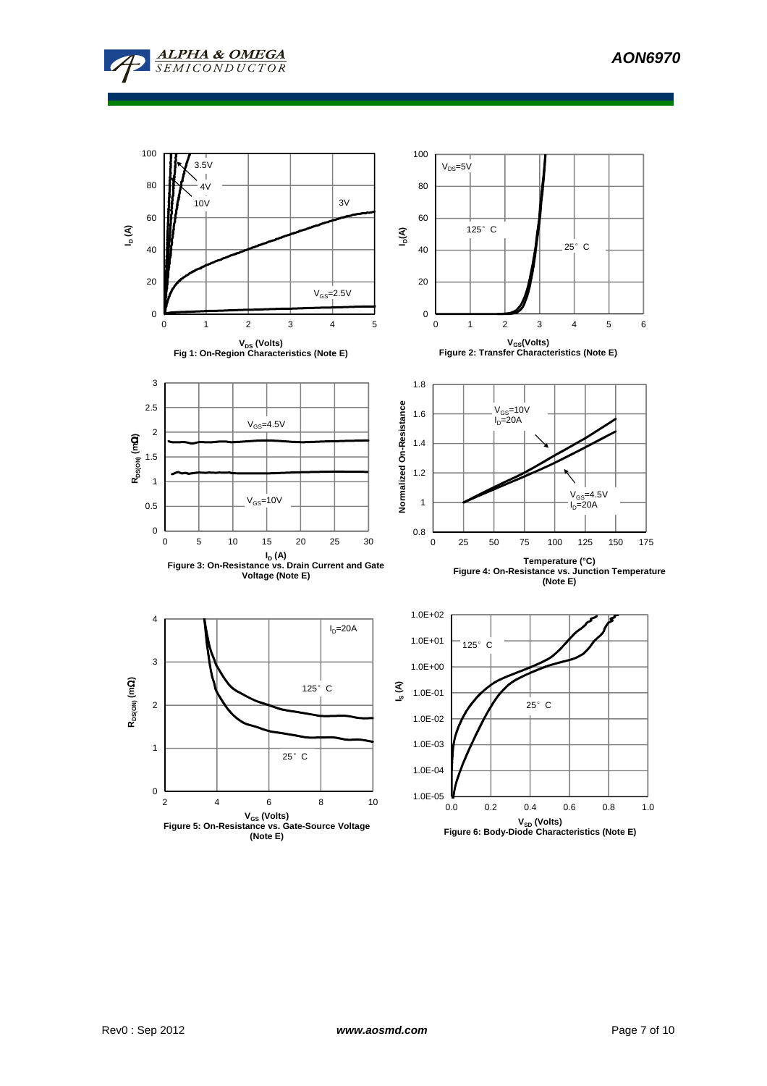



**VSD (Volts) Figure 6: Body-Diode Characteristics (Note E)**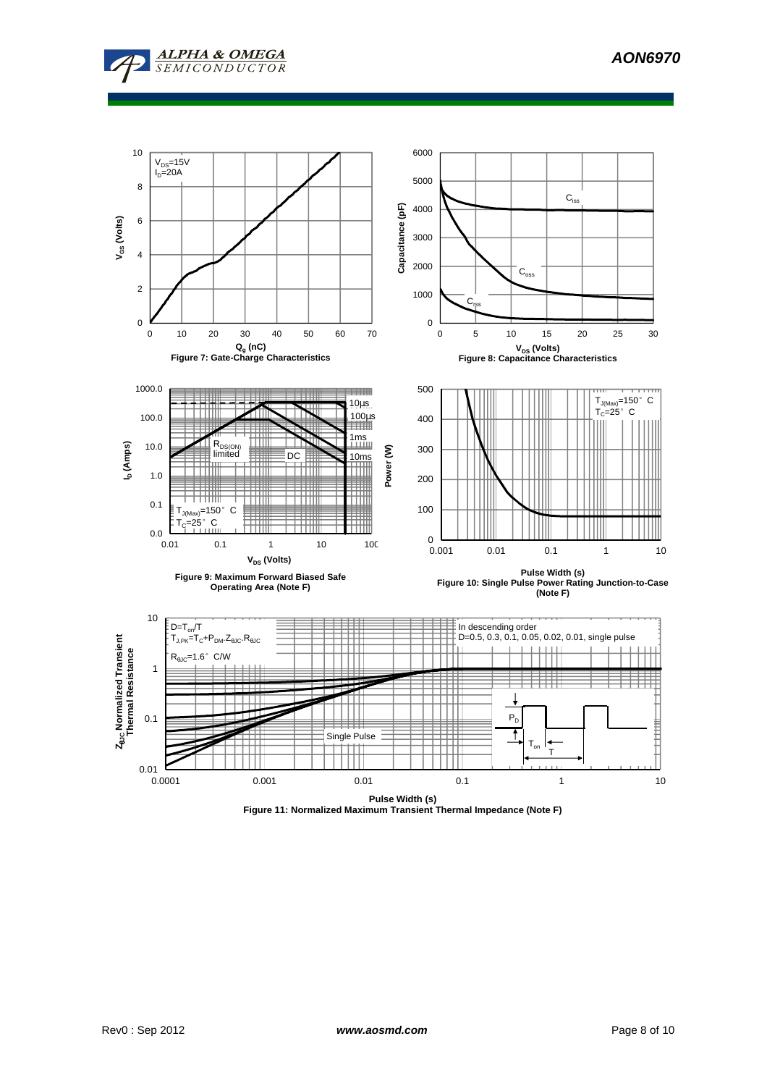





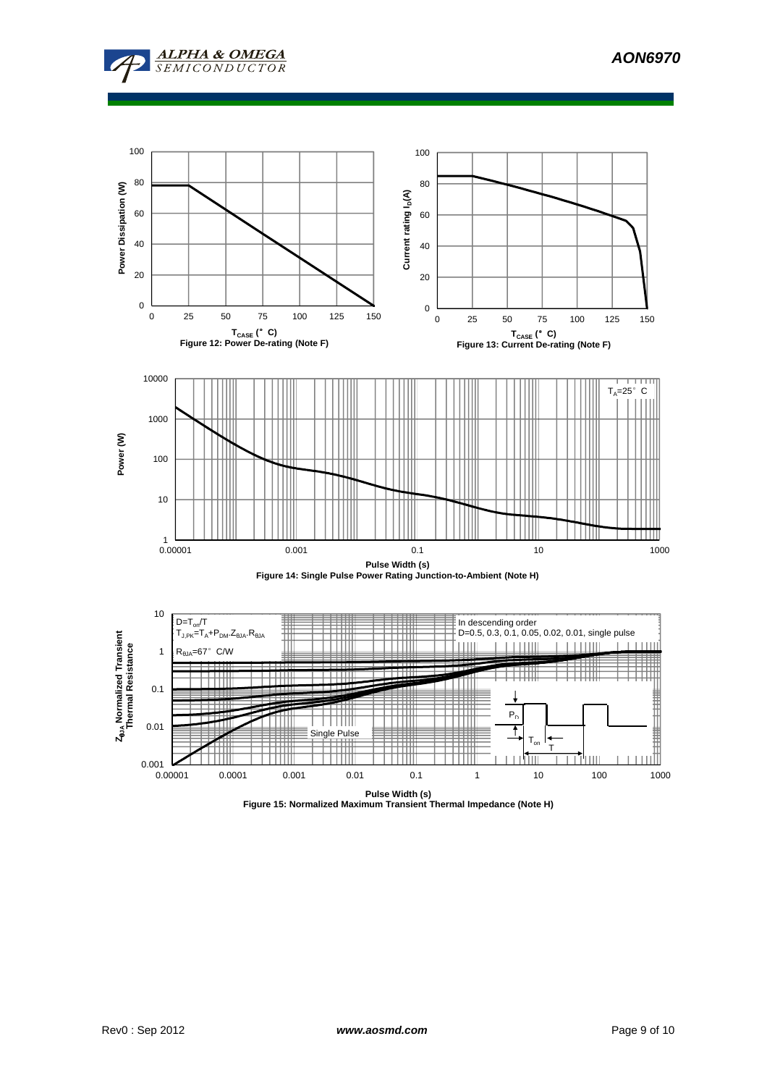